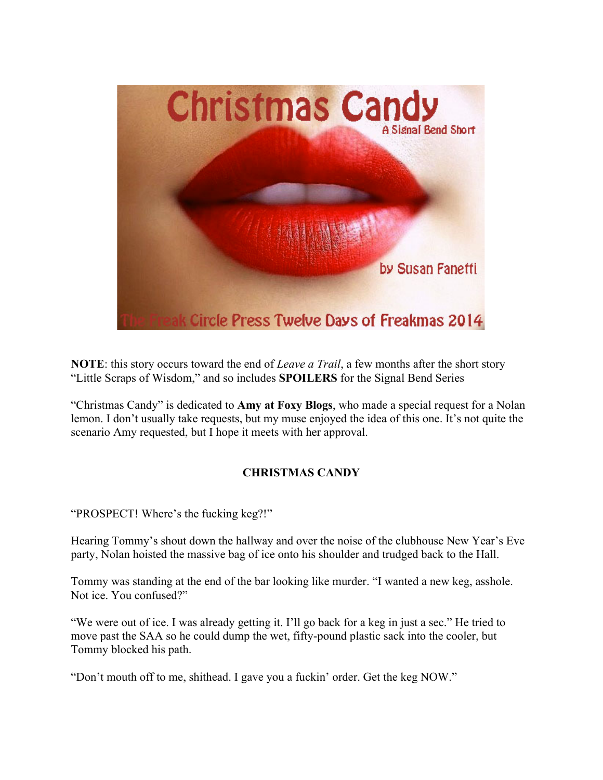

**NOTE**: this story occurs toward the end of *Leave a Trail*, a few months after the short story "Little Scraps of Wisdom," and so includes **SPOILERS** for the Signal Bend Series

"Christmas Candy" is dedicated to **Amy at Foxy Blogs**, who made a special request for a Nolan lemon. I don't usually take requests, but my muse enjoyed the idea of this one. It's not quite the scenario Amy requested, but I hope it meets with her approval.

## **CHRISTMAS CANDY**

"PROSPECT! Where's the fucking keg?!"

Hearing Tommy's shout down the hallway and over the noise of the clubhouse New Year's Eve party, Nolan hoisted the massive bag of ice onto his shoulder and trudged back to the Hall.

Tommy was standing at the end of the bar looking like murder. "I wanted a new keg, asshole. Not ice. You confused?"

"We were out of ice. I was already getting it. I'll go back for a keg in just a sec." He tried to move past the SAA so he could dump the wet, fifty-pound plastic sack into the cooler, but Tommy blocked his path.

"Don't mouth off to me, shithead. I gave you a fuckin' order. Get the keg NOW."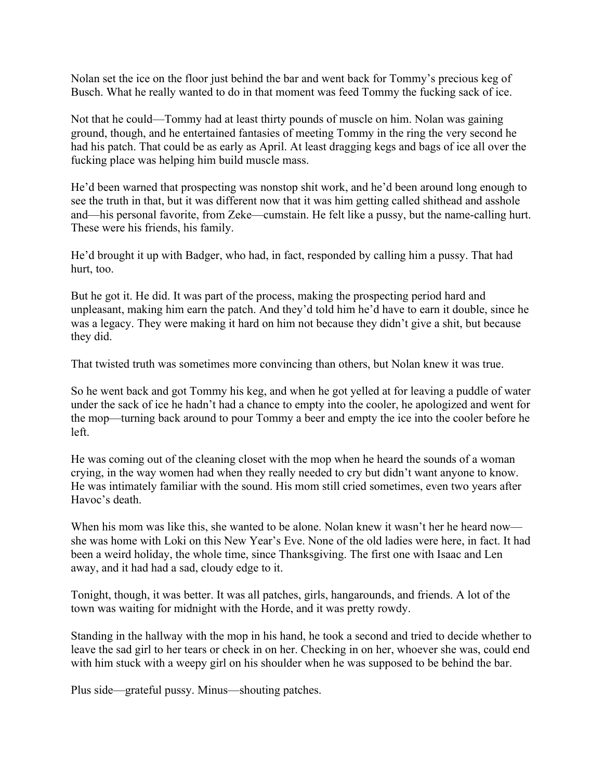Nolan set the ice on the floor just behind the bar and went back for Tommy's precious keg of Busch. What he really wanted to do in that moment was feed Tommy the fucking sack of ice.

Not that he could—Tommy had at least thirty pounds of muscle on him. Nolan was gaining ground, though, and he entertained fantasies of meeting Tommy in the ring the very second he had his patch. That could be as early as April. At least dragging kegs and bags of ice all over the fucking place was helping him build muscle mass.

He'd been warned that prospecting was nonstop shit work, and he'd been around long enough to see the truth in that, but it was different now that it was him getting called shithead and asshole and—his personal favorite, from Zeke—cumstain. He felt like a pussy, but the name-calling hurt. These were his friends, his family.

He'd brought it up with Badger, who had, in fact, responded by calling him a pussy. That had hurt, too.

But he got it. He did. It was part of the process, making the prospecting period hard and unpleasant, making him earn the patch. And they'd told him he'd have to earn it double, since he was a legacy. They were making it hard on him not because they didn't give a shit, but because they did.

That twisted truth was sometimes more convincing than others, but Nolan knew it was true.

So he went back and got Tommy his keg, and when he got yelled at for leaving a puddle of water under the sack of ice he hadn't had a chance to empty into the cooler, he apologized and went for the mop—turning back around to pour Tommy a beer and empty the ice into the cooler before he left.

He was coming out of the cleaning closet with the mop when he heard the sounds of a woman crying, in the way women had when they really needed to cry but didn't want anyone to know. He was intimately familiar with the sound. His mom still cried sometimes, even two years after Havoc's death.

When his mom was like this, she wanted to be alone. Nolan knew it wasn't her he heard now she was home with Loki on this New Year's Eve. None of the old ladies were here, in fact. It had been a weird holiday, the whole time, since Thanksgiving. The first one with Isaac and Len away, and it had had a sad, cloudy edge to it.

Tonight, though, it was better. It was all patches, girls, hangarounds, and friends. A lot of the town was waiting for midnight with the Horde, and it was pretty rowdy.

Standing in the hallway with the mop in his hand, he took a second and tried to decide whether to leave the sad girl to her tears or check in on her. Checking in on her, whoever she was, could end with him stuck with a weepy girl on his shoulder when he was supposed to be behind the bar.

Plus side—grateful pussy. Minus—shouting patches.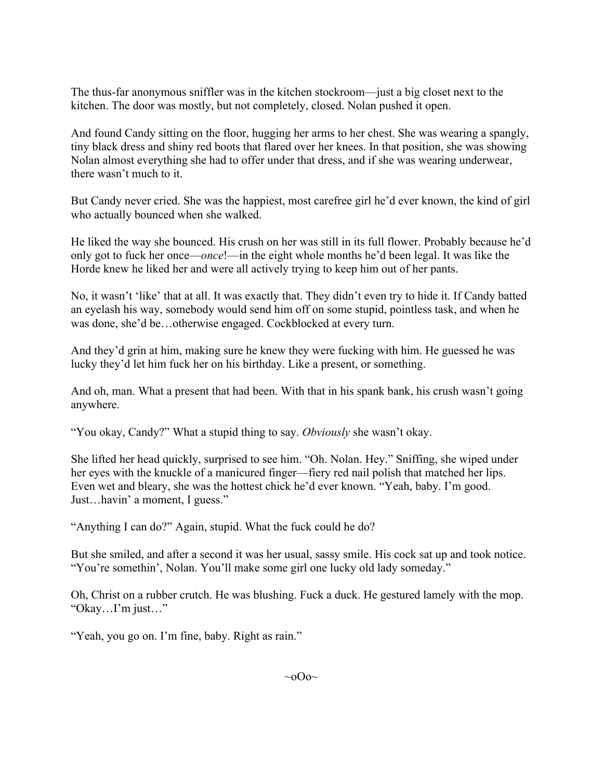The thus-far anonymous sniffler was in the kitchen stockroom—just a big closet next to the kitchen. The door was mostly, but not completely, closed. Nolan pushed it open.

And found Candy sitting on the floor, hugging her arms to her chest. She was wearing a spangly, tiny black dress and shiny red boots that flared over her knees. In that position, she was showing Nolan almost everything she had to offer under that dress, and if she was wearing underwear, there wasn't much to it.

But Candy never cried. She was the happiest, most carefree girl he'd ever known, the kind of girl who actually bounced when she walked.

He liked the way she bounced. His crush on her was still in its full flower. Probably because he'd only got to fuck her once—*once*!—in the eight whole months he'd been legal. It was like the Horde knew he liked her and were all actively trying to keep him out of her pants.

No, it wasn't 'like' that at all. It was exactly that. They didn't even try to hide it. If Candy batted an eyelash his way, somebody would send him off on some stupid, pointless task, and when he was done, she'd be…otherwise engaged. Cockblocked at every turn.

And they'd grin at him, making sure he knew they were fucking with him. He guessed he was lucky they'd let him fuck her on his birthday. Like a present, or something.

And oh, man. What a present that had been. With that in his spank bank, his crush wasn't going anywhere.

"You okay, Candy?" What a stupid thing to say. *Obviously* she wasn't okay.

She lifted her head quickly, surprised to see him. "Oh. Nolan. Hey." Sniffing, she wiped under her eyes with the knuckle of a manicured finger—fiery red nail polish that matched her lips. Even wet and bleary, she was the hottest chick he'd ever known. "Yeah, baby. I'm good. Just…havin' a moment, I guess."

"Anything I can do?" Again, stupid. What the fuck could he do?

But she smiled, and after a second it was her usual, sassy smile. His cock sat up and took notice. "You're somethin', Nolan. You'll make some girl one lucky old lady someday."

Oh, Christ on a rubber crutch. He was blushing. Fuck a duck. He gestured lamely with the mop. "Okay…I'm just…"

"Yeah, you go on. I'm fine, baby. Right as rain."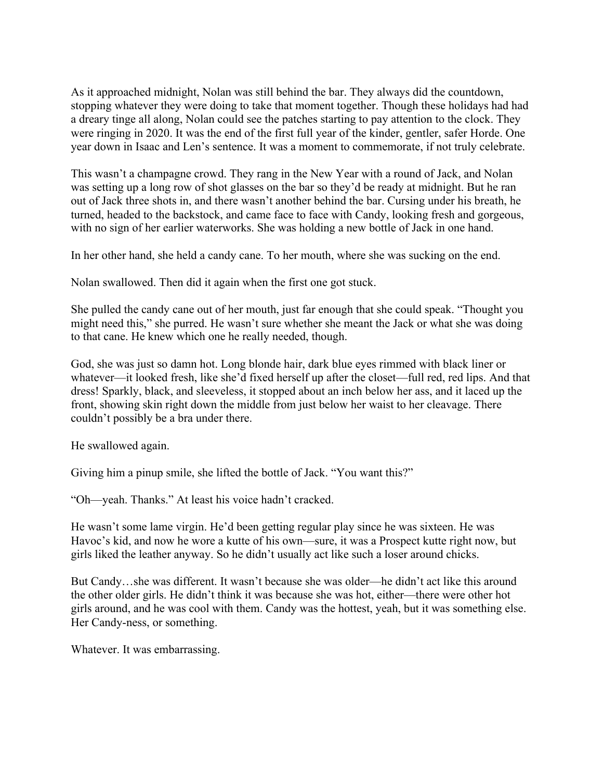As it approached midnight, Nolan was still behind the bar. They always did the countdown, stopping whatever they were doing to take that moment together. Though these holidays had had a dreary tinge all along, Nolan could see the patches starting to pay attention to the clock. They were ringing in 2020. It was the end of the first full year of the kinder, gentler, safer Horde. One year down in Isaac and Len's sentence. It was a moment to commemorate, if not truly celebrate.

This wasn't a champagne crowd. They rang in the New Year with a round of Jack, and Nolan was setting up a long row of shot glasses on the bar so they'd be ready at midnight. But he ran out of Jack three shots in, and there wasn't another behind the bar. Cursing under his breath, he turned, headed to the backstock, and came face to face with Candy, looking fresh and gorgeous, with no sign of her earlier waterworks. She was holding a new bottle of Jack in one hand.

In her other hand, she held a candy cane. To her mouth, where she was sucking on the end.

Nolan swallowed. Then did it again when the first one got stuck.

She pulled the candy cane out of her mouth, just far enough that she could speak. "Thought you might need this," she purred. He wasn't sure whether she meant the Jack or what she was doing to that cane. He knew which one he really needed, though.

God, she was just so damn hot. Long blonde hair, dark blue eyes rimmed with black liner or whatever—it looked fresh, like she'd fixed herself up after the closet—full red, red lips. And that dress! Sparkly, black, and sleeveless, it stopped about an inch below her ass, and it laced up the front, showing skin right down the middle from just below her waist to her cleavage. There couldn't possibly be a bra under there.

He swallowed again.

Giving him a pinup smile, she lifted the bottle of Jack. "You want this?"

"Oh—yeah. Thanks." At least his voice hadn't cracked.

He wasn't some lame virgin. He'd been getting regular play since he was sixteen. He was Havoc's kid, and now he wore a kutte of his own—sure, it was a Prospect kutte right now, but girls liked the leather anyway. So he didn't usually act like such a loser around chicks.

But Candy…she was different. It wasn't because she was older—he didn't act like this around the other older girls. He didn't think it was because she was hot, either—there were other hot girls around, and he was cool with them. Candy was the hottest, yeah, but it was something else. Her Candy-ness, or something.

Whatever. It was embarrassing.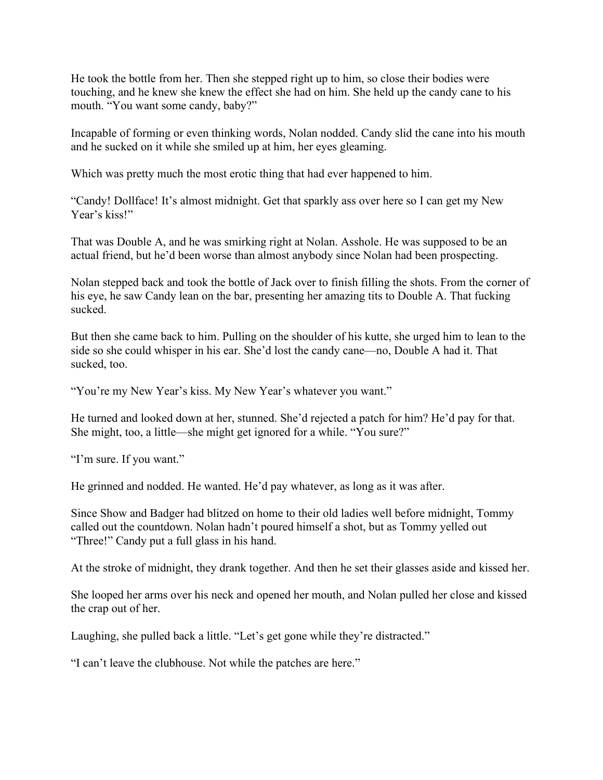He took the bottle from her. Then she stepped right up to him, so close their bodies were touching, and he knew she knew the effect she had on him. She held up the candy cane to his mouth. "You want some candy, baby?"

Incapable of forming or even thinking words, Nolan nodded. Candy slid the cane into his mouth and he sucked on it while she smiled up at him, her eyes gleaming.

Which was pretty much the most erotic thing that had ever happened to him.

"Candy! Dollface! It's almost midnight. Get that sparkly ass over here so I can get my New Year's kiss!"

That was Double A, and he was smirking right at Nolan. Asshole. He was supposed to be an actual friend, but he'd been worse than almost anybody since Nolan had been prospecting.

Nolan stepped back and took the bottle of Jack over to finish filling the shots. From the corner of his eye, he saw Candy lean on the bar, presenting her amazing tits to Double A. That fucking sucked.

But then she came back to him. Pulling on the shoulder of his kutte, she urged him to lean to the side so she could whisper in his ear. She'd lost the candy cane—no, Double A had it. That sucked, too.

"You're my New Year's kiss. My New Year's whatever you want."

He turned and looked down at her, stunned. She'd rejected a patch for him? He'd pay for that. She might, too, a little—she might get ignored for a while. "You sure?"

"I'm sure. If you want."

He grinned and nodded. He wanted. He'd pay whatever, as long as it was after.

Since Show and Badger had blitzed on home to their old ladies well before midnight, Tommy called out the countdown. Nolan hadn't poured himself a shot, but as Tommy yelled out "Three!" Candy put a full glass in his hand.

At the stroke of midnight, they drank together. And then he set their glasses aside and kissed her.

She looped her arms over his neck and opened her mouth, and Nolan pulled her close and kissed the crap out of her.

Laughing, she pulled back a little. "Let's get gone while they're distracted."

"I can't leave the clubhouse. Not while the patches are here."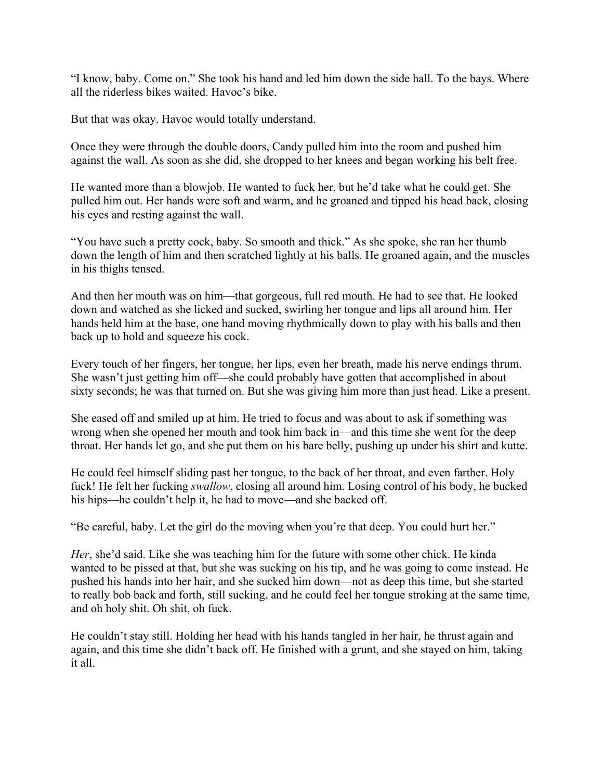"I know, baby. Come on." She took his hand and led him down the side hall. To the bays. Where all the riderless bikes waited. Havoc's bike.

But that was okay. Havoc would totally understand.

Once they were through the double doors, Candy pulled him into the room and pushed him against the wall. As soon as she did, she dropped to her knees and began working his belt free.

He wanted more than a blowjob. He wanted to fuck her, but he'd take what he could get. She pulled him out. Her hands were soft and warm, and he groaned and tipped his head back, closing his eyes and resting against the wall.

"You have such a pretty cock, baby. So smooth and thick." As she spoke, she ran her thumb down the length of him and then scratched lightly at his balls. He groaned again, and the muscles in his thighs tensed.

And then her mouth was on him—that gorgeous, full red mouth. He had to see that. He looked down and watched as she licked and sucked, swirling her tongue and lips all around him. Her hands held him at the base, one hand moving rhythmically down to play with his balls and then back up to hold and squeeze his cock.

Every touch of her fingers, her tongue, her lips, even her breath, made his nerve endings thrum. She wasn't just getting him off—she could probably have gotten that accomplished in about sixty seconds; he was that turned on. But she was giving him more than just head. Like a present.

She eased off and smiled up at him. He tried to focus and was about to ask if something was wrong when she opened her mouth and took him back in—and this time she went for the deep throat. Her hands let go, and she put them on his bare belly, pushing up under his shirt and kutte.

He could feel himself sliding past her tongue, to the back of her throat, and even farther. Holy fuck! He felt her fucking *swallow*, closing all around him. Losing control of his body, he bucked his hips—he couldn't help it, he had to move—and she backed off.

"Be careful, baby. Let the girl do the moving when you're that deep. You could hurt her."

*Her*, she'd said. Like she was teaching him for the future with some other chick. He kinda wanted to be pissed at that, but she was sucking on his tip, and he was going to come instead. He pushed his hands into her hair, and she sucked him down—not as deep this time, but she started to really bob back and forth, still sucking, and he could feel her tongue stroking at the same time, and oh holy shit. Oh shit, oh fuck.

He couldn't stay still. Holding her head with his hands tangled in her hair, he thrust again and again, and this time she didn't back off. He finished with a grunt, and she stayed on him, taking it all.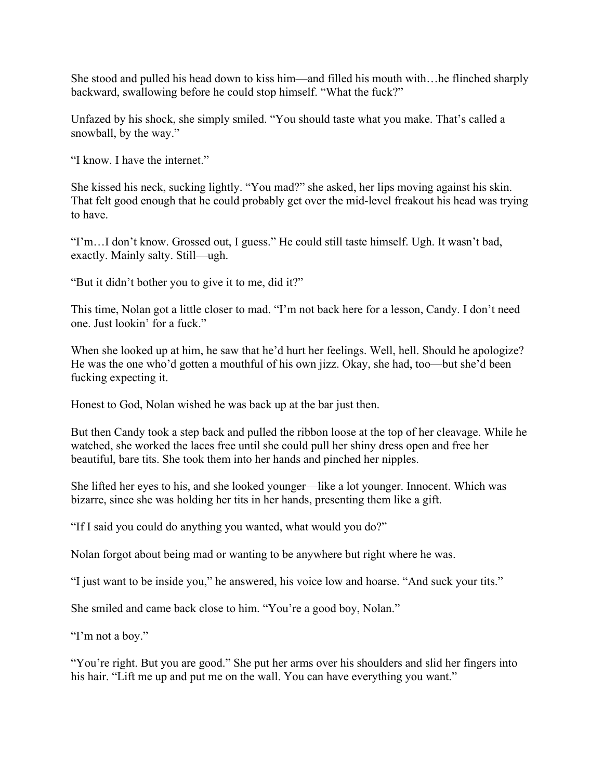She stood and pulled his head down to kiss him—and filled his mouth with…he flinched sharply backward, swallowing before he could stop himself. "What the fuck?"

Unfazed by his shock, she simply smiled. "You should taste what you make. That's called a snowball, by the way."

"I know. I have the internet."

She kissed his neck, sucking lightly. "You mad?" she asked, her lips moving against his skin. That felt good enough that he could probably get over the mid-level freakout his head was trying to have.

"I'm…I don't know. Grossed out, I guess." He could still taste himself. Ugh. It wasn't bad, exactly. Mainly salty. Still—ugh.

"But it didn't bother you to give it to me, did it?"

This time, Nolan got a little closer to mad. "I'm not back here for a lesson, Candy. I don't need one. Just lookin' for a fuck."

When she looked up at him, he saw that he'd hurt her feelings. Well, hell. Should he apologize? He was the one who'd gotten a mouthful of his own jizz. Okay, she had, too—but she'd been fucking expecting it.

Honest to God, Nolan wished he was back up at the bar just then.

But then Candy took a step back and pulled the ribbon loose at the top of her cleavage. While he watched, she worked the laces free until she could pull her shiny dress open and free her beautiful, bare tits. She took them into her hands and pinched her nipples.

She lifted her eyes to his, and she looked younger—like a lot younger. Innocent. Which was bizarre, since she was holding her tits in her hands, presenting them like a gift.

"If I said you could do anything you wanted, what would you do?"

Nolan forgot about being mad or wanting to be anywhere but right where he was.

"I just want to be inside you," he answered, his voice low and hoarse. "And suck your tits."

She smiled and came back close to him. "You're a good boy, Nolan."

"I'm not a boy."

"You're right. But you are good." She put her arms over his shoulders and slid her fingers into his hair. "Lift me up and put me on the wall. You can have everything you want."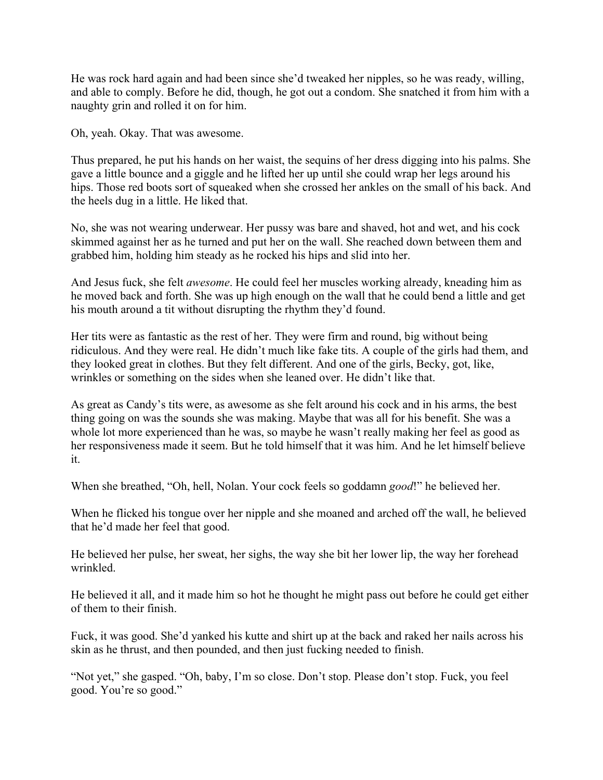He was rock hard again and had been since she'd tweaked her nipples, so he was ready, willing, and able to comply. Before he did, though, he got out a condom. She snatched it from him with a naughty grin and rolled it on for him.

Oh, yeah. Okay. That was awesome.

Thus prepared, he put his hands on her waist, the sequins of her dress digging into his palms. She gave a little bounce and a giggle and he lifted her up until she could wrap her legs around his hips. Those red boots sort of squeaked when she crossed her ankles on the small of his back. And the heels dug in a little. He liked that.

No, she was not wearing underwear. Her pussy was bare and shaved, hot and wet, and his cock skimmed against her as he turned and put her on the wall. She reached down between them and grabbed him, holding him steady as he rocked his hips and slid into her.

And Jesus fuck, she felt *awesome*. He could feel her muscles working already, kneading him as he moved back and forth. She was up high enough on the wall that he could bend a little and get his mouth around a tit without disrupting the rhythm they'd found.

Her tits were as fantastic as the rest of her. They were firm and round, big without being ridiculous. And they were real. He didn't much like fake tits. A couple of the girls had them, and they looked great in clothes. But they felt different. And one of the girls, Becky, got, like, wrinkles or something on the sides when she leaned over. He didn't like that.

As great as Candy's tits were, as awesome as she felt around his cock and in his arms, the best thing going on was the sounds she was making. Maybe that was all for his benefit. She was a whole lot more experienced than he was, so maybe he wasn't really making her feel as good as her responsiveness made it seem. But he told himself that it was him. And he let himself believe it.

When she breathed, "Oh, hell, Nolan. Your cock feels so goddamn *good*!" he believed her.

When he flicked his tongue over her nipple and she moaned and arched off the wall, he believed that he'd made her feel that good.

He believed her pulse, her sweat, her sighs, the way she bit her lower lip, the way her forehead wrinkled.

He believed it all, and it made him so hot he thought he might pass out before he could get either of them to their finish.

Fuck, it was good. She'd yanked his kutte and shirt up at the back and raked her nails across his skin as he thrust, and then pounded, and then just fucking needed to finish.

"Not yet," she gasped. "Oh, baby, I'm so close. Don't stop. Please don't stop. Fuck, you feel good. You're so good."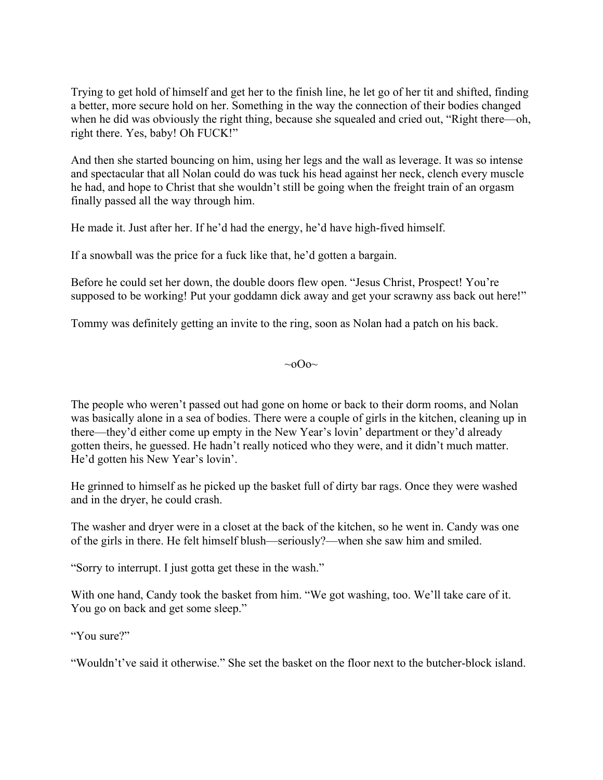Trying to get hold of himself and get her to the finish line, he let go of her tit and shifted, finding a better, more secure hold on her. Something in the way the connection of their bodies changed when he did was obviously the right thing, because she squealed and cried out, "Right there—oh, right there. Yes, baby! Oh FUCK!"

And then she started bouncing on him, using her legs and the wall as leverage. It was so intense and spectacular that all Nolan could do was tuck his head against her neck, clench every muscle he had, and hope to Christ that she wouldn't still be going when the freight train of an orgasm finally passed all the way through him.

He made it. Just after her. If he'd had the energy, he'd have high-fived himself.

If a snowball was the price for a fuck like that, he'd gotten a bargain.

Before he could set her down, the double doors flew open. "Jesus Christ, Prospect! You're supposed to be working! Put your goddamn dick away and get your scrawny ass back out here!"

Tommy was definitely getting an invite to the ring, soon as Nolan had a patch on his back.

 $\sim 000$ ~

The people who weren't passed out had gone on home or back to their dorm rooms, and Nolan was basically alone in a sea of bodies. There were a couple of girls in the kitchen, cleaning up in there—they'd either come up empty in the New Year's lovin' department or they'd already gotten theirs, he guessed. He hadn't really noticed who they were, and it didn't much matter. He'd gotten his New Year's lovin'.

He grinned to himself as he picked up the basket full of dirty bar rags. Once they were washed and in the dryer, he could crash.

The washer and dryer were in a closet at the back of the kitchen, so he went in. Candy was one of the girls in there. He felt himself blush—seriously?—when she saw him and smiled.

"Sorry to interrupt. I just gotta get these in the wash."

With one hand, Candy took the basket from him. "We got washing, too. We'll take care of it. You go on back and get some sleep."

"You sure?"

"Wouldn't've said it otherwise." She set the basket on the floor next to the butcher-block island.